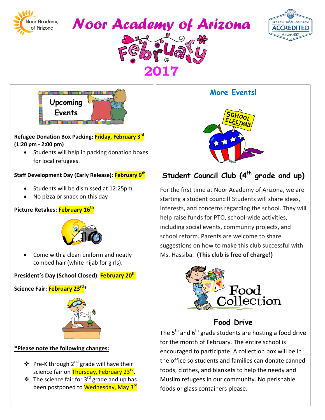







**2017** 

### **Refugee Donation Box Packing: Friday, February 3rd (1:20 pm - 2:00 pm)**

• Students will help in packing donation boxes for local refugees.

### **Staff Development Day (Early Release): February 9th**

- Students will be dismissed at 12:25pm.
- No pizza or snack on this day

### **Picture Retakes: February 16th**



• Come with a clean uniform and neatly combed hair (white hijab for girls).

## **President's Day (School Closed): February 20th**

**Science Fair: February 23rd\***



## **\*Please note the following changes:**

- $\triangleq$  Pre-K through 2<sup>nd</sup> grade will have their science fair on Thursday, February 23<sup>rd</sup>.
- $\cdot$  The science fair for 3<sup>rd</sup> grade and up has been postponed to Wednesday, May 3<sup>rd</sup>.

# **More Events!**



# Student Council Club (4<sup>th</sup> grade and up)

For the first time at Noor Academy of Arizona, we are starting a student council! Students will share ideas, interests, and concerns regarding the school. They will help raise funds for PTO, school-wide activities, including social events, community projects, and school reform. Parents are welcome to share suggestions on how to make this club successful with Ms. Hassiba. **(This club is free of charge!)**



# **Food Drive**

The  $5<sup>th</sup>$  and  $6<sup>th</sup>$  grade students are hosting a food drive for the month of February. The entire school is encouraged to participate. A collection box will be in the office so students and families can donate canned foods, clothes, and blankets to help the needy and Muslim refugees in our community. No perishable foods or glass containers please.